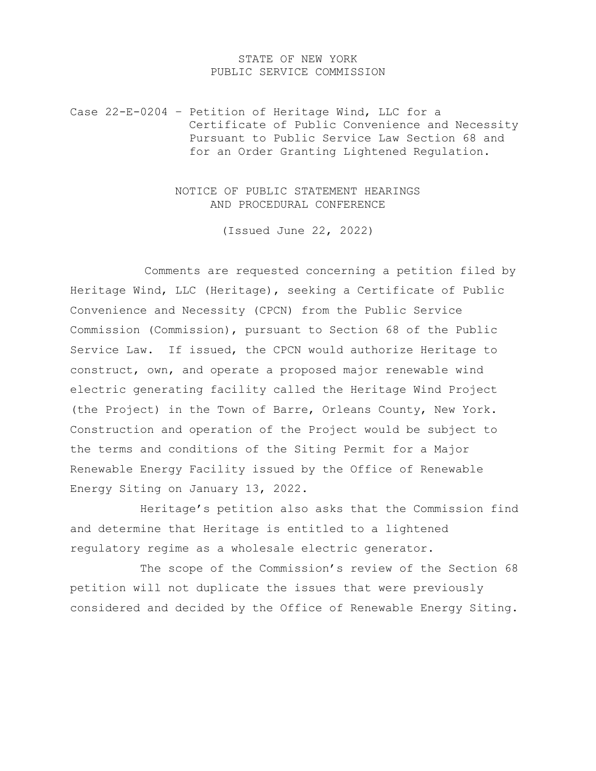## STATE OF NEW YORK PUBLIC SERVICE COMMISSION

Case 22-E-0204 – Petition of Heritage Wind, LLC for a Certificate of Public Convenience and Necessity Pursuant to Public Service Law Section 68 and for an Order Granting Lightened Regulation.

> NOTICE OF PUBLIC STATEMENT HEARINGS AND PROCEDURAL CONFERENCE

> > (Issued June 22, 2022)

Comments are requested concerning a petition filed by Heritage Wind, LLC (Heritage), seeking a Certificate of Public Convenience and Necessity (CPCN) from the Public Service Commission (Commission), pursuant to Section 68 of the Public Service Law. If issued, the CPCN would authorize Heritage to construct, own, and operate a proposed major renewable wind electric generating facility called the Heritage Wind Project (the Project) in the Town of Barre, Orleans County, New York. Construction and operation of the Project would be subject to the terms and conditions of the Siting Permit for a Major Renewable Energy Facility issued by the Office of Renewable Energy Siting on January 13, 2022.

Heritage's petition also asks that the Commission find and determine that Heritage is entitled to a lightened regulatory regime as a wholesale electric generator.

The scope of the Commission's review of the Section 68 petition will not duplicate the issues that were previously considered and decided by the Office of Renewable Energy Siting.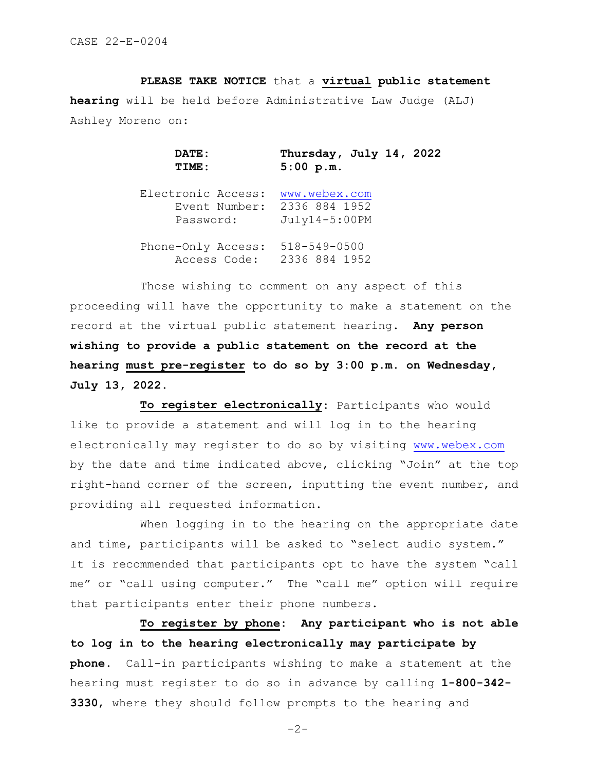**PLEASE TAKE NOTICE** that a **virtual public statement hearing** will be held before Administrative Law Judge (ALJ) Ashley Moreno on:

> **DATE:** Thursday, July 14, 2022<br>TIME: 5:00 p.m. **TIME: 5:00 p.m.**

 Electronic Access: [www.webex.com](http://www.webex.com/)  Event Number: 2336 884 1952 Password: July14-5:00PM

 Phone-Only Access: 518-549-0500 Access Code: 2336 884 1952

 Those wishing to comment on any aspect of this proceeding will have the opportunity to make a statement on the record at the virtual public statement hearing. **Any person wishing to provide a public statement on the record at the hearing must pre-register to do so by 3:00 p.m. on Wednesday, July 13, 2022.** 

 **To register electronically:** Participants who would like to provide a statement and will log in to the hearing electronically may register to do so by visiting [www.webex.com](http://www.webex.com/) by the date and time indicated above, clicking "Join" at the top right-hand corner of the screen, inputting the event number, and providing all requested information.

 When logging in to the hearing on the appropriate date and time, participants will be asked to "select audio system." It is recommended that participants opt to have the system "call me" or "call using computer." The "call me" option will require that participants enter their phone numbers.

 **To register by phone: Any participant who is not able to log in to the hearing electronically may participate by phone.** Call-in participants wishing to make a statement at the hearing must register to do so in advance by calling **1-800-342- 3330**, where they should follow prompts to the hearing and

 $-2-$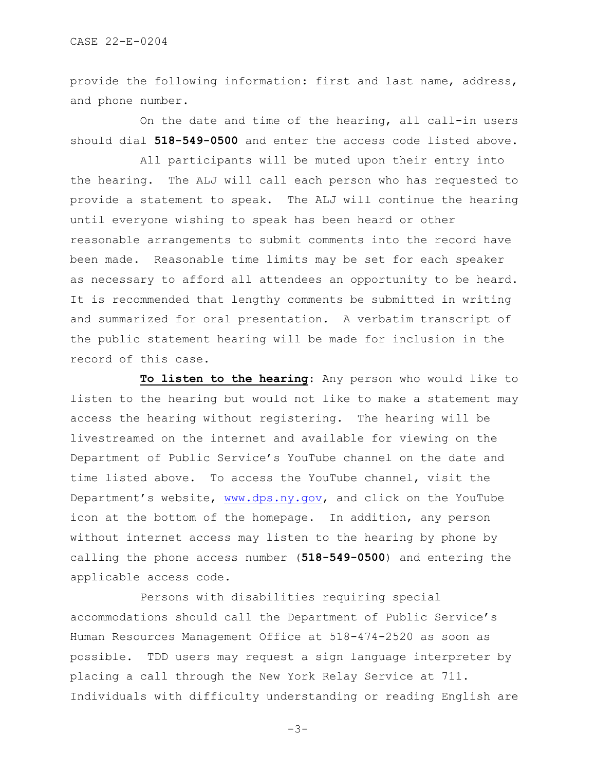provide the following information: first and last name, address, and phone number.

On the date and time of the hearing, all call-in users should dial **518-549-0500** and enter the access code listed above.

 All participants will be muted upon their entry into the hearing. The ALJ will call each person who has requested to provide a statement to speak. The ALJ will continue the hearing until everyone wishing to speak has been heard or other reasonable arrangements to submit comments into the record have been made. Reasonable time limits may be set for each speaker as necessary to afford all attendees an opportunity to be heard. It is recommended that lengthy comments be submitted in writing and summarized for oral presentation. A verbatim transcript of the public statement hearing will be made for inclusion in the record of this case.

 **To listen to the hearing**: Any person who would like to listen to the hearing but would not like to make a statement may access the hearing without registering. The hearing will be livestreamed on the internet and available for viewing on the Department of Public Service's YouTube channel on the date and time listed above. To access the YouTube channel, visit the Department's website, [www.dps.ny.gov,](http://www.dps.ny.gov/) and click on the YouTube icon at the bottom of the homepage. In addition, any person without internet access may listen to the hearing by phone by calling the phone access number (**518-549-0500**) and entering the applicable access code.

 Persons with disabilities requiring special accommodations should call the Department of Public Service's Human Resources Management Office at 518-474-2520 as soon as possible. TDD users may request a sign language interpreter by placing a call through the New York Relay Service at 711. Individuals with difficulty understanding or reading English are

-3-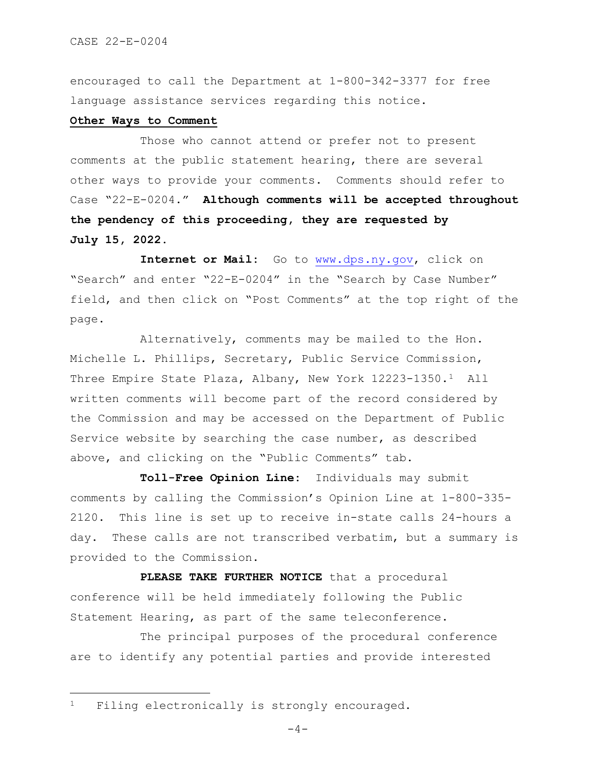encouraged to call the Department at 1-800-342-3377 for free language assistance services regarding this notice.

## **Other Ways to Comment**

 Those who cannot attend or prefer not to present comments at the public statement hearing, there are several other ways to provide your comments. Comments should refer to Case "22-E-0204." **Although comments will be accepted throughout the pendency of this proceeding, they are requested by July 15, 2022.**

Internet or Mail: Go to [www.dps.ny.gov,](http://www.dps.ny.gov/) click on "Search" and enter "22-E-0204" in the "Search by Case Number" field, and then click on "Post Comments" at the top right of the page.

 Alternatively, comments may be mailed to the Hon. Michelle L. Phillips, Secretary, Public Service Commission, Three Empire State Plaza, Albany, New York 12223-1350.[1](#page-3-0) All written comments will become part of the record considered by the Commission and may be accessed on the Department of Public Service website by searching the case number, as described above, and clicking on the "Public Comments" tab.

 **Toll-Free Opinion Line:** Individuals may submit comments by calling the Commission's Opinion Line at 1-800-335- 2120. This line is set up to receive in-state calls 24-hours a day. These calls are not transcribed verbatim, but a summary is provided to the Commission.

PLEASE TAKE FURTHER NOTICE that a procedural conference will be held immediately following the Public Statement Hearing, as part of the same teleconference.

The principal purposes of the procedural conference are to identify any potential parties and provide interested

<span id="page-3-0"></span><sup>1</sup> Filing electronically is strongly encouraged.